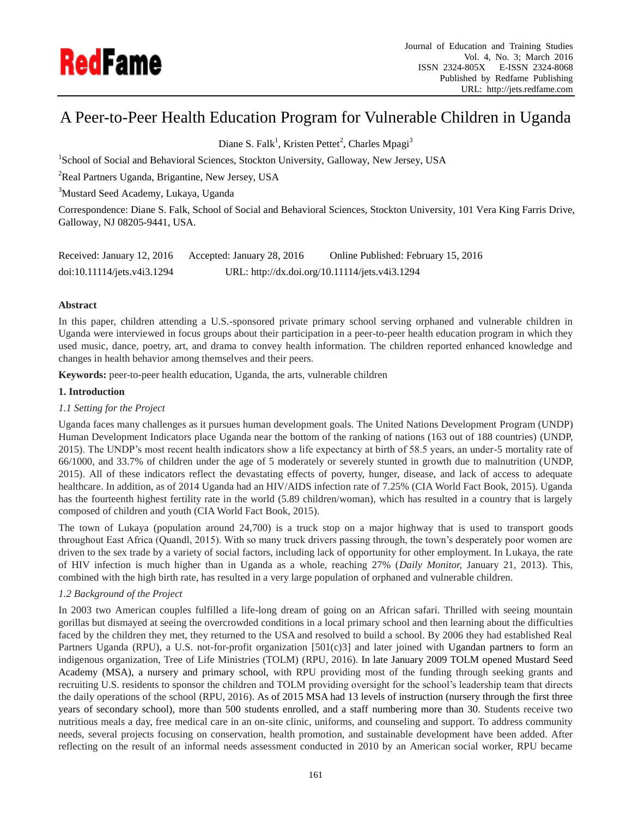

# A Peer-to-Peer Health Education Program for Vulnerable Children in Uganda

Diane S. Falk<sup>1</sup>, Kristen Pettet<sup>2</sup>, Charles Mpagi<sup>3</sup>

<sup>1</sup>School of Social and Behavioral Sciences, Stockton University, Galloway, New Jersey, USA

<sup>2</sup>Real Partners Uganda, Brigantine, New Jersey, USA

<sup>3</sup>Mustard Seed Academy, Lukaya, Uganda

Correspondence: Diane S. Falk, School of Social and Behavioral Sciences, Stockton University, 101 Vera King Farris Drive, Galloway, NJ 08205-9441, USA.

| Received: January 12, 2016  | Accepted: January 28, 2016 | Online Published: February 15, 2016            |
|-----------------------------|----------------------------|------------------------------------------------|
| doi:10.11114/jets.v4i3.1294 |                            | URL: http://dx.doi.org/10.11114/jets.v4i3.1294 |

# **Abstract**

In this paper, children attending a U.S.-sponsored private primary school serving orphaned and vulnerable children in Uganda were interviewed in focus groups about their participation in a peer-to-peer health education program in which they used music, dance, poetry, art, and drama to convey health information. The children reported enhanced knowledge and changes in health behavior among themselves and their peers.

**Keywords:** peer-to-peer health education, Uganda, the arts, vulnerable children

# **1. Introduction**

# *1.1 Setting for the Project*

Uganda faces many challenges as it pursues human development goals. The United Nations Development Program (UNDP) Human Development Indicators place Uganda near the bottom of the ranking of nations (163 out of 188 countries) (UNDP, 2015). The UNDP's most recent health indicators show a life expectancy at birth of 58.5 years, an under-5 mortality rate of 66/1000, and 33.7% of children under the age of 5 moderately or severely stunted in growth due to malnutrition (UNDP, 2015). All of these indicators reflect the devastating effects of poverty, hunger, disease, and lack of access to adequate healthcare. In addition, as of 2014 Uganda had an HIV/AIDS infection rate of 7.25% (CIA World Fact Book, 2015). Uganda has the fourteenth highest fertility rate in the world (5.89 children/woman), which has resulted in a country that is largely composed of children and youth (CIA World Fact Book, 2015).

The town of Lukaya (population around 24,700) is a truck stop on a major highway that is used to transport goods throughout East Africa (Quandl, 2015). With so many truck drivers passing through, the town's desperately poor women are driven to the sex trade by a variety of social factors, including lack of opportunity for other employment. In Lukaya, the rate of HIV infection is much higher than in Uganda as a whole, reaching 27% (*Daily Monitor,* January 21, 2013). This, combined with the high birth rate, has resulted in a very large population of orphaned and vulnerable children.

# *1.2 Background of the Project*

In 2003 two American couples fulfilled a life-long dream of going on an African safari. Thrilled with seeing mountain gorillas but dismayed at seeing the overcrowded conditions in a local primary school and then learning about the difficulties faced by the children they met, they returned to the USA and resolved to build a school. By 2006 they had established Real Partners Uganda (RPU), a U.S. not-for-profit organization [501(c)3] and later joined with Ugandan partners to form an indigenous organization, Tree of Life Ministries (TOLM) (RPU, 2016). In late January 2009 TOLM opened Mustard Seed Academy (MSA), a nursery and primary school, with RPU providing most of the funding through seeking grants and recruiting U.S. residents to sponsor the children and TOLM providing oversight for the school's leadership team that directs the daily operations of the school (RPU, 2016). As of 2015 MSA had 13 levels of instruction (nursery through the first three years of secondary school), more than 500 students enrolled, and a staff numbering more than 30. Students receive two nutritious meals a day, free medical care in an on-site clinic, uniforms, and counseling and support. To address community needs, several projects focusing on conservation, health promotion, and sustainable development have been added. After reflecting on the result of an informal needs assessment conducted in 2010 by an American social worker, RPU became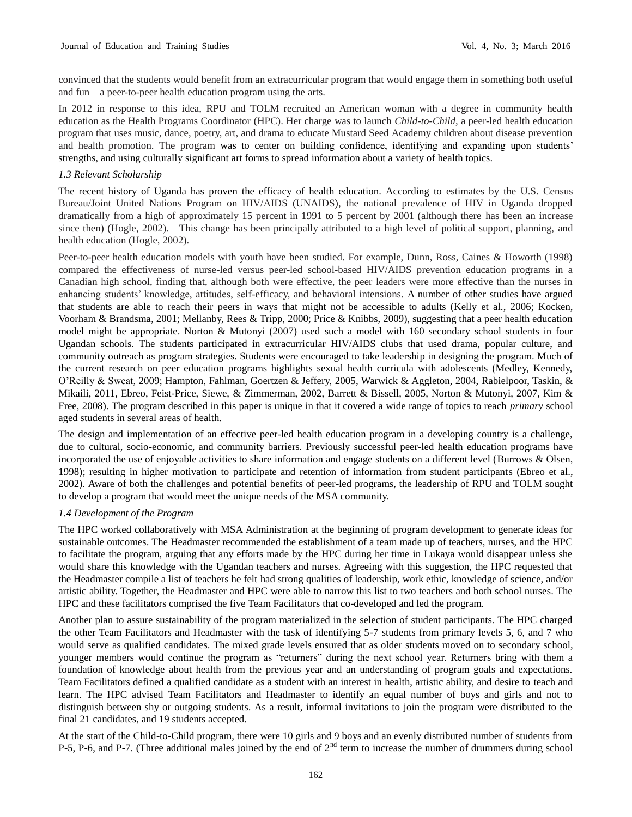convinced that the students would benefit from an extracurricular program that would engage them in something both useful and fun—a peer-to-peer health education program using the arts.

In 2012 in response to this idea, RPU and TOLM recruited an American woman with a degree in community health education as the Health Programs Coordinator (HPC). Her charge was to launch *Child-to-Child*, a peer-led health education program that uses music, dance, poetry, art, and drama to educate Mustard Seed Academy children about disease prevention and health promotion. The program was to center on building confidence, identifying and expanding upon students' strengths, and using culturally significant art forms to spread information about a variety of health topics.

## *1.3 Relevant Scholarship*

The recent history of Uganda has proven the efficacy of health education. According to estimates by the U.S. Census Bureau/Joint United Nations Program on HIV/AIDS (UNAIDS), the national prevalence of HIV in Uganda dropped dramatically from a high of approximately 15 percent in 1991 to 5 percent by 2001 (although there has been an increase since then) (Hogle, 2002). This change has been principally attributed to a high level of political support, planning, and health education (Hogle, 2002).

Peer-to-peer health education models with youth have been studied. For example, Dunn, Ross, Caines & Howorth (1998) compared the effectiveness of nurse-led versus peer-led school-based HIV/AIDS prevention education programs in a Canadian high school, finding that, although both were effective, the peer leaders were more effective than the nurses in enhancing students' knowledge, attitudes, self-efficacy, and behavioral intensions. A number of other studies have argued that students are able to reach their peers in ways that might not be accessible to adults (Kelly et al., 2006; Kocken, Voorham & Brandsma, 2001; Mellanby, Rees & Tripp, 2000; Price & Knibbs, 2009), suggesting that a peer health education model might be appropriate. Norton & Mutonyi (2007) used such a model with 160 secondary school students in four Ugandan schools. The students participated in extracurricular HIV/AIDS clubs that used drama, popular culture, and community outreach as program strategies. Students were encouraged to take leadership in designing the program. Much of the current research on peer education programs highlights sexual health curricula with adolescents (Medley, Kennedy, O'Reilly & Sweat, 2009; Hampton, Fahlman, Goertzen & Jeffery, 2005, Warwick & Aggleton, 2004, Rabielpoor, Taskin, & Mikaili, 2011, Ebreo, Feist-Price, Siewe, & Zimmerman, 2002, Barrett & Bissell, 2005, Norton & Mutonyi, 2007, Kim & Free, 2008). The program described in this paper is unique in that it covered a wide range of topics to reach *primary* school aged students in several areas of health.

The design and implementation of an effective peer-led health education program in a developing country is a challenge, due to cultural, socio-economic, and community barriers. Previously successful peer-led health education programs have incorporated the use of enjoyable activities to share information and engage students on a different level (Burrows & Olsen, 1998); resulting in higher motivation to participate and retention of information from student participants (Ebreo et al., 2002). Aware of both the challenges and potential benefits of peer-led programs, the leadership of RPU and TOLM sought to develop a program that would meet the unique needs of the MSA community.

#### *1.4 Development of the Program*

The HPC worked collaboratively with MSA Administration at the beginning of program development to generate ideas for sustainable outcomes. The Headmaster recommended the establishment of a team made up of teachers, nurses, and the HPC to facilitate the program, arguing that any efforts made by the HPC during her time in Lukaya would disappear unless she would share this knowledge with the Ugandan teachers and nurses. Agreeing with this suggestion, the HPC requested that the Headmaster compile a list of teachers he felt had strong qualities of leadership, work ethic, knowledge of science, and/or artistic ability. Together, the Headmaster and HPC were able to narrow this list to two teachers and both school nurses. The HPC and these facilitators comprised the five Team Facilitators that co-developed and led the program.

Another plan to assure sustainability of the program materialized in the selection of student participants. The HPC charged the other Team Facilitators and Headmaster with the task of identifying 5-7 students from primary levels 5, 6, and 7 who would serve as qualified candidates. The mixed grade levels ensured that as older students moved on to secondary school, younger members would continue the program as "returners" during the next school year. Returners bring with them a foundation of knowledge about health from the previous year and an understanding of program goals and expectations. Team Facilitators defined a qualified candidate as a student with an interest in health, artistic ability, and desire to teach and learn. The HPC advised Team Facilitators and Headmaster to identify an equal number of boys and girls and not to distinguish between shy or outgoing students. As a result, informal invitations to join the program were distributed to the final 21 candidates, and 19 students accepted.

At the start of the Child-to-Child program, there were 10 girls and 9 boys and an evenly distributed number of students from P-5, P-6, and P-7. (Three additional males joined by the end of  $2<sup>nd</sup>$  term to increase the number of drummers during school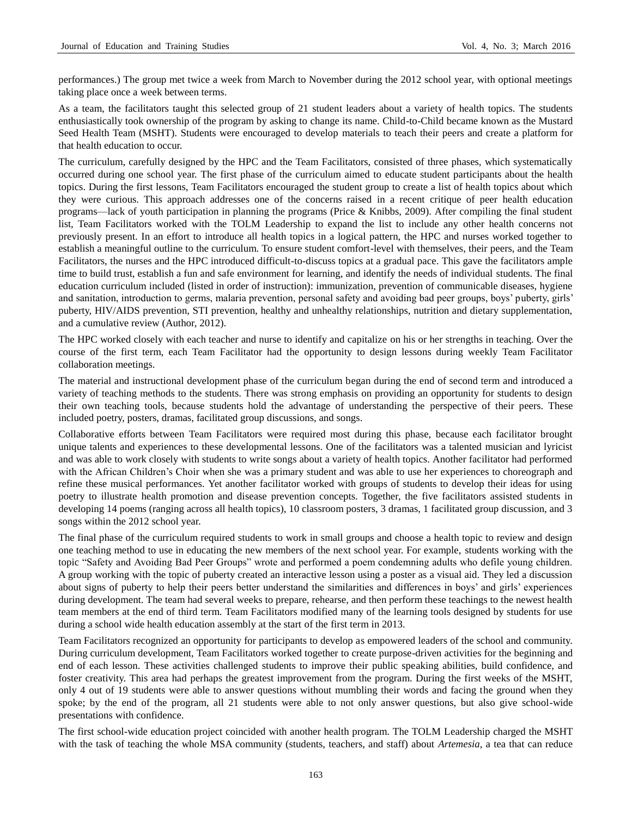performances.) The group met twice a week from March to November during the 2012 school year, with optional meetings taking place once a week between terms.

As a team, the facilitators taught this selected group of 21 student leaders about a variety of health topics. The students enthusiastically took ownership of the program by asking to change its name. Child-to-Child became known as the Mustard Seed Health Team (MSHT). Students were encouraged to develop materials to teach their peers and create a platform for that health education to occur.

The curriculum, carefully designed by the HPC and the Team Facilitators, consisted of three phases, which systematically occurred during one school year. The first phase of the curriculum aimed to educate student participants about the health topics. During the first lessons, Team Facilitators encouraged the student group to create a list of health topics about which they were curious. This approach addresses one of the concerns raised in a recent critique of peer health education programs—lack of youth participation in planning the programs (Price & Knibbs, 2009). After compiling the final student list, Team Facilitators worked with the TOLM Leadership to expand the list to include any other health concerns not previously present. In an effort to introduce all health topics in a logical pattern, the HPC and nurses worked together to establish a meaningful outline to the curriculum. To ensure student comfort-level with themselves, their peers, and the Team Facilitators, the nurses and the HPC introduced difficult-to-discuss topics at a gradual pace. This gave the facilitators ample time to build trust, establish a fun and safe environment for learning, and identify the needs of individual students. The final education curriculum included (listed in order of instruction): immunization, prevention of communicable diseases, hygiene and sanitation, introduction to germs, malaria prevention, personal safety and avoiding bad peer groups, boys' puberty, girls' puberty, HIV/AIDS prevention, STI prevention, healthy and unhealthy relationships, nutrition and dietary supplementation, and a cumulative review (Author, 2012).

The HPC worked closely with each teacher and nurse to identify and capitalize on his or her strengths in teaching. Over the course of the first term, each Team Facilitator had the opportunity to design lessons during weekly Team Facilitator collaboration meetings.

The material and instructional development phase of the curriculum began during the end of second term and introduced a variety of teaching methods to the students. There was strong emphasis on providing an opportunity for students to design their own teaching tools, because students hold the advantage of understanding the perspective of their peers. These included poetry, posters, dramas, facilitated group discussions, and songs.

Collaborative efforts between Team Facilitators were required most during this phase, because each facilitator brought unique talents and experiences to these developmental lessons. One of the facilitators was a talented musician and lyricist and was able to work closely with students to write songs about a variety of health topics. Another facilitator had performed with the African Children's Choir when she was a primary student and was able to use her experiences to choreograph and refine these musical performances. Yet another facilitator worked with groups of students to develop their ideas for using poetry to illustrate health promotion and disease prevention concepts. Together, the five facilitators assisted students in developing 14 poems (ranging across all health topics), 10 classroom posters, 3 dramas, 1 facilitated group discussion, and 3 songs within the 2012 school year.

The final phase of the curriculum required students to work in small groups and choose a health topic to review and design one teaching method to use in educating the new members of the next school year. For example, students working with the topic "Safety and Avoiding Bad Peer Groups" wrote and performed a poem condemning adults who defile young children. A group working with the topic of puberty created an interactive lesson using a poster as a visual aid. They led a discussion about signs of puberty to help their peers better understand the similarities and differences in boys' and girls' experiences during development. The team had several weeks to prepare, rehearse, and then perform these teachings to the newest health team members at the end of third term. Team Facilitators modified many of the learning tools designed by students for use during a school wide health education assembly at the start of the first term in 2013.

Team Facilitators recognized an opportunity for participants to develop as empowered leaders of the school and community. During curriculum development, Team Facilitators worked together to create purpose-driven activities for the beginning and end of each lesson. These activities challenged students to improve their public speaking abilities, build confidence, and foster creativity. This area had perhaps the greatest improvement from the program. During the first weeks of the MSHT, only 4 out of 19 students were able to answer questions without mumbling their words and facing the ground when they spoke; by the end of the program, all 21 students were able to not only answer questions, but also give school-wide presentations with confidence.

The first school-wide education project coincided with another health program. The TOLM Leadership charged the MSHT with the task of teaching the whole MSA community (students, teachers, and staff) about *Artemesia*, a tea that can reduce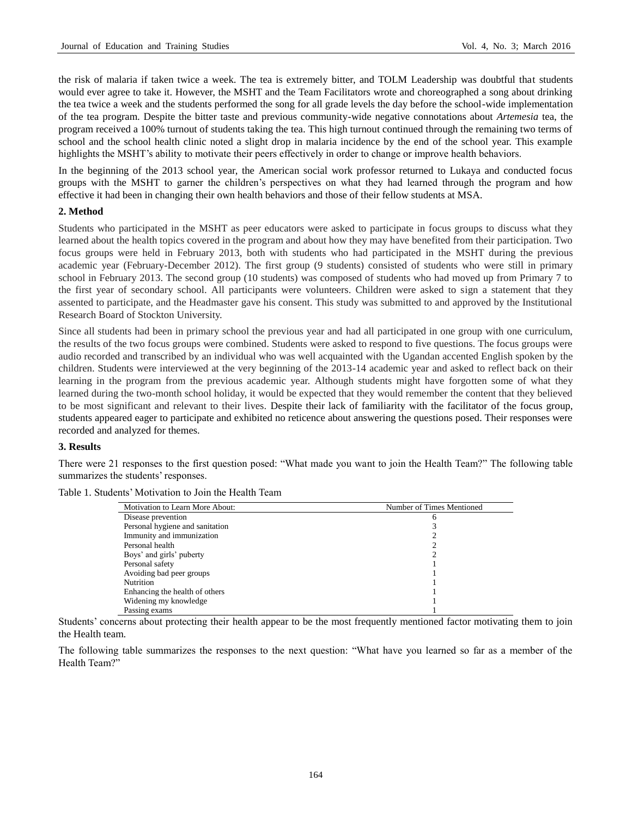the risk of malaria if taken twice a week. The tea is extremely bitter, and TOLM Leadership was doubtful that students would ever agree to take it. However, the MSHT and the Team Facilitators wrote and choreographed a song about drinking the tea twice a week and the students performed the song for all grade levels the day before the school-wide implementation of the tea program. Despite the bitter taste and previous community-wide negative connotations about *Artemesia* tea, the program received a 100% turnout of students taking the tea. This high turnout continued through the remaining two terms of school and the school health clinic noted a slight drop in malaria incidence by the end of the school year. This example highlights the MSHT's ability to motivate their peers effectively in order to change or improve health behaviors.

In the beginning of the 2013 school year, the American social work professor returned to Lukaya and conducted focus groups with the MSHT to garner the children's perspectives on what they had learned through the program and how effective it had been in changing their own health behaviors and those of their fellow students at MSA.

## **2. Method**

Students who participated in the MSHT as peer educators were asked to participate in focus groups to discuss what they learned about the health topics covered in the program and about how they may have benefited from their participation. Two focus groups were held in February 2013, both with students who had participated in the MSHT during the previous academic year (February-December 2012). The first group (9 students) consisted of students who were still in primary school in February 2013. The second group (10 students) was composed of students who had moved up from Primary 7 to the first year of secondary school. All participants were volunteers. Children were asked to sign a statement that they assented to participate, and the Headmaster gave his consent. This study was submitted to and approved by the Institutional Research Board of Stockton University.

Since all students had been in primary school the previous year and had all participated in one group with one curriculum, the results of the two focus groups were combined. Students were asked to respond to five questions. The focus groups were audio recorded and transcribed by an individual who was well acquainted with the Ugandan accented English spoken by the children. Students were interviewed at the very beginning of the 2013-14 academic year and asked to reflect back on their learning in the program from the previous academic year. Although students might have forgotten some of what they learned during the two-month school holiday, it would be expected that they would remember the content that they believed to be most significant and relevant to their lives. Despite their lack of familiarity with the facilitator of the focus group, students appeared eager to participate and exhibited no reticence about answering the questions posed. Their responses were recorded and analyzed for themes.

## **3. Results**

There were 21 responses to the first question posed: "What made you want to join the Health Team?" The following table summarizes the students' responses.

| Table 1. Students' Motivation to Join the Health Team |  |  |
|-------------------------------------------------------|--|--|
|-------------------------------------------------------|--|--|

| Motivation to Learn More About: | Number of Times Mentioned |
|---------------------------------|---------------------------|
| Disease prevention              | h                         |
| Personal hygiene and sanitation |                           |
| Immunity and immunization       |                           |
| Personal health                 |                           |
| Boys' and girls' puberty        |                           |
| Personal safety                 |                           |
| Avoiding bad peer groups        |                           |
| Nutrition                       |                           |
| Enhancing the health of others  |                           |
| Widening my knowledge           |                           |
| Passing exams                   |                           |

Students' concerns about protecting their health appear to be the most frequently mentioned factor motivating them to join the Health team.

The following table summarizes the responses to the next question: "What have you learned so far as a member of the Health Team?"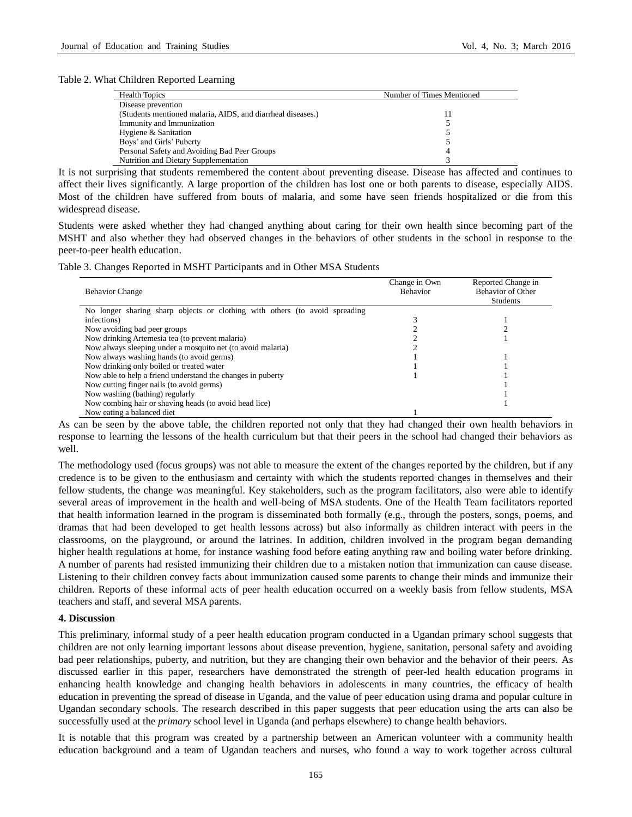#### Table 2. What Children Reported Learning

| <b>Health Topics</b>                                        | Number of Times Mentioned |
|-------------------------------------------------------------|---------------------------|
| Disease prevention                                          |                           |
| (Students mentioned malaria, AIDS, and diarrheal diseases.) |                           |
| Immunity and Immunization                                   |                           |
| Hygiene & Sanitation                                        |                           |
| Boys' and Girls' Puberty                                    |                           |
| Personal Safety and Avoiding Bad Peer Groups                |                           |
| Nutrition and Dietary Supplementation                       |                           |

It is not surprising that students remembered the content about preventing disease. Disease has affected and continues to affect their lives significantly. A large proportion of the children has lost one or both parents to disease, especially AIDS. Most of the children have suffered from bouts of malaria, and some have seen friends hospitalized or die from this widespread disease.

Students were asked whether they had changed anything about caring for their own health since becoming part of the MSHT and also whether they had observed changes in the behaviors of other students in the school in response to the peer-to-peer health education.

|  |  | Table 3. Changes Reported in MSHT Participants and in Other MSA Students |  |  |
|--|--|--------------------------------------------------------------------------|--|--|
|  |  |                                                                          |  |  |

| <b>Behavior Change</b>                                                      | Change in Own<br>Behavior | Reported Change in<br><b>Behavior of Other</b><br>Students |
|-----------------------------------------------------------------------------|---------------------------|------------------------------------------------------------|
| No longer sharing sharp objects or clothing with others (to avoid spreading |                           |                                                            |
| infections)                                                                 |                           |                                                            |
| Now avoiding bad peer groups                                                |                           |                                                            |
| Now drinking Artemesia tea (to prevent malaria)                             |                           |                                                            |
| Now always sleeping under a mosquito net (to avoid malaria)                 |                           |                                                            |
| Now always washing hands (to avoid germs)                                   |                           |                                                            |
| Now drinking only boiled or treated water                                   |                           |                                                            |
| Now able to help a friend understand the changes in puberty                 |                           |                                                            |
| Now cutting finger nails (to avoid germs)                                   |                           |                                                            |
| Now washing (bathing) regularly                                             |                           |                                                            |
| Now combing hair or shaving heads (to avoid head lice)                      |                           |                                                            |
| Now eating a balanced diet                                                  |                           |                                                            |

As can be seen by the above table, the children reported not only that they had changed their own health behaviors in response to learning the lessons of the health curriculum but that their peers in the school had changed their behaviors as well.

The methodology used (focus groups) was not able to measure the extent of the changes reported by the children, but if any credence is to be given to the enthusiasm and certainty with which the students reported changes in themselves and their fellow students, the change was meaningful. Key stakeholders, such as the program facilitators, also were able to identify several areas of improvement in the health and well-being of MSA students. One of the Health Team facilitators reported that health information learned in the program is disseminated both formally (e.g., through the posters, songs, poems, and dramas that had been developed to get health lessons across) but also informally as children interact with peers in the classrooms, on the playground, or around the latrines. In addition, children involved in the program began demanding higher health regulations at home, for instance washing food before eating anything raw and boiling water before drinking. A number of parents had resisted immunizing their children due to a mistaken notion that immunization can cause disease. Listening to their children convey facts about immunization caused some parents to change their minds and immunize their children. Reports of these informal acts of peer health education occurred on a weekly basis from fellow students, MSA teachers and staff, and several MSA parents.

#### **4. Discussion**

This preliminary, informal study of a peer health education program conducted in a Ugandan primary school suggests that children are not only learning important lessons about disease prevention, hygiene, sanitation, personal safety and avoiding bad peer relationships, puberty, and nutrition, but they are changing their own behavior and the behavior of their peers. As discussed earlier in this paper, researchers have demonstrated the strength of peer-led health education programs in enhancing health knowledge and changing health behaviors in adolescents in many countries, the efficacy of health education in preventing the spread of disease in Uganda, and the value of peer education using drama and popular culture in Ugandan secondary schools. The research described in this paper suggests that peer education using the arts can also be successfully used at the *primary* school level in Uganda (and perhaps elsewhere) to change health behaviors.

It is notable that this program was created by a partnership between an American volunteer with a community health education background and a team of Ugandan teachers and nurses, who found a way to work together across cultural